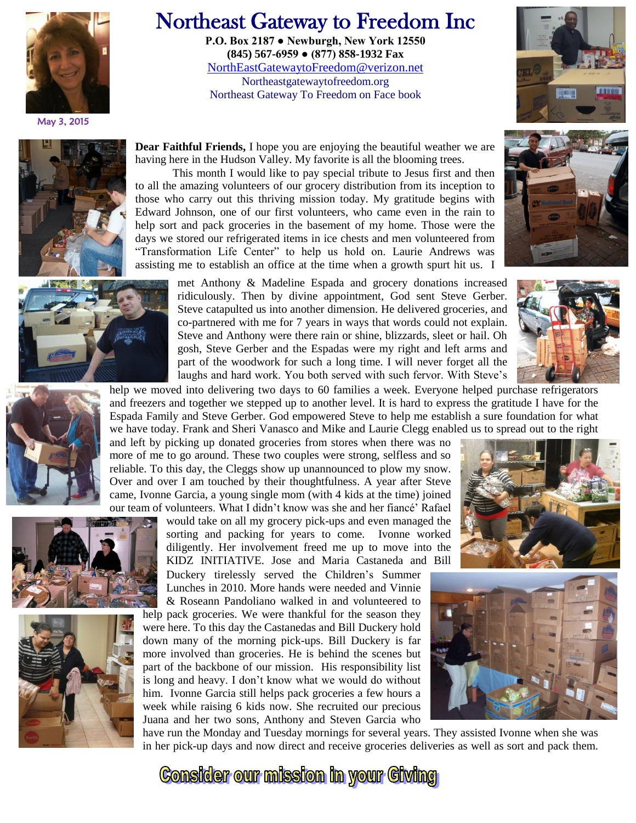

May 3, 2015

## Northeast Gateway to Freedom Inc

**P.O. Box 2187 ● Newburgh, New York 12550 (845) 567-6959 ● (877) 858-1932 Fax** [NorthEastGatewaytoFreedom@verizon.net](mailto:NorthEastGatewaytoFreedom@verizon.net) Northeastgatewaytofreedom.org Northeast Gateway To Freedom on Face book





those who carry out this thriving mission today. My gratitude begins with Edward Johnson, one of our first volunteers, who came even in the rain to help sort and pack groceries in the basement of my home. Those were the days we stored our refrigerated items in ice chests and men volunteered from "Transformation Life Center" to help us hold on. Laurie Andrews was assisting me to establish an office at the time when a growth spurt hit us. I met Anthony & Madeline Espada and grocery donations increased

This month I would like to pay special tribute to Jesus first and then

ridiculously. Then by divine appointment, God sent Steve Gerber. Steve catapulted us into another dimension. He delivered groceries, and co-partnered with me for 7 years in ways that words could not explain. Steve and Anthony were there rain or shine, blizzards, sleet or hail. Oh gosh, Steve Gerber and the Espadas were my right and left arms and part of the woodwork for such a long time. I will never forget all the laughs and hard work. You both served with such fervor. With Steve's









our team of volunteers. What I didn't know was she and her fiancé' Rafael would take on all my grocery pick-ups and even managed the sorting and packing for years to come. Ivonne worked diligently. Her involvement freed me up to move into the KIDZ INITIATIVE. Jose and Maria Castaneda and Bill Duckery tirelessly served the Children's Summer

Lunches in 2010. More hands were needed and Vinnie & Roseann Pandoliano walked in and volunteered to

help pack groceries. We were thankful for the season they were here. To this day the Castanedas and Bill Duckery hold down many of the morning pick-ups. Bill Duckery is far more involved than groceries. He is behind the scenes but part of the backbone of our mission. His responsibility list is long and heavy. I don't know what we would do without him. Ivonne Garcia still helps pack groceries a few hours a week while raising 6 kids now. She recruited our precious Juana and her two sons, Anthony and Steven Garcia who





have run the Monday and Tuesday mornings for several years. They assisted Ivonne when she was in her pick-up days and now direct and receive groceries deliveries as well as sort and pack them.

**Consider our mission in your Giving**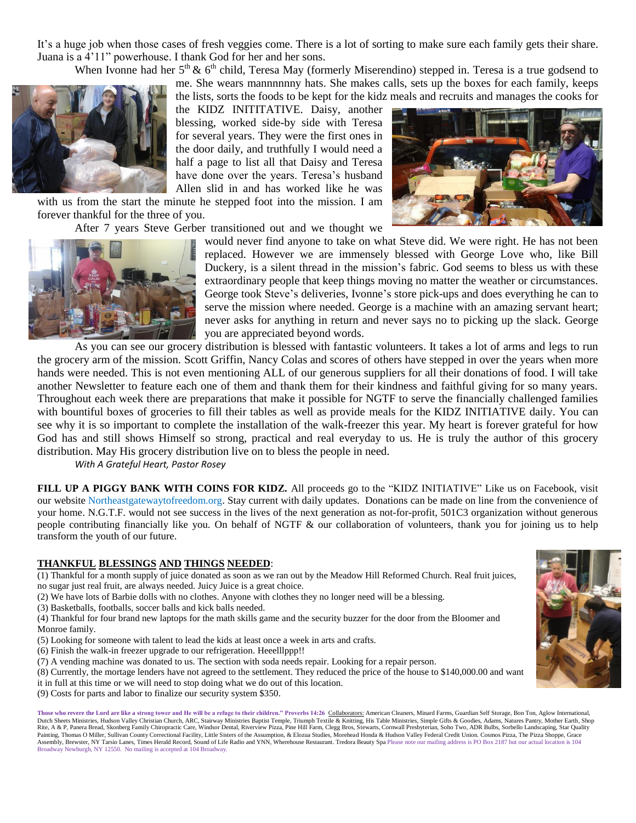It's a huge job when those cases of fresh veggies come. There is a lot of sorting to make sure each family gets their share. Juana is a 4'11" powerhouse. I thank God for her and her sons.

When Ivonne had her  $5<sup>th</sup>$  &  $6<sup>th</sup>$  child, Teresa May (formerly Miserendino) stepped in. Teresa is a true godsend to



the lists, sorts the foods to be kept for the kidz meals and recruits and manages the cooks for the KIDZ INITITATIVE. Daisy, another blessing, worked side-by side with Teresa for several years. They were the first ones in the door daily, and truthfully I would need a half a page to list all that Daisy and Teresa have done over the years. Teresa's husband Allen slid in and has worked like he was

with us from the start the minute he stepped foot into the mission. I am forever thankful for the three of you.

After 7 years Steve Gerber transitioned out and we thought we



would never find anyone to take on what Steve did. We were right. He has not been replaced. However we are immensely blessed with George Love who, like Bill Duckery, is a silent thread in the mission's fabric. God seems to bless us with these extraordinary people that keep things moving no matter the weather or circumstances. George took Steve's deliveries, Ivonne's store pick-ups and does everything he can to serve the mission where needed. George is a machine with an amazing servant heart; never asks for anything in return and never says no to picking up the slack. George you are appreciated beyond words.

me. She wears mannnnnny hats. She makes calls, sets up the boxes for each family, keeps

As you can see our grocery distribution is blessed with fantastic volunteers. It takes a lot of arms and legs to run the grocery arm of the mission. Scott Griffin, Nancy Colas and scores of others have stepped in over the years when more hands were needed. This is not even mentioning ALL of our generous suppliers for all their donations of food. I will take another Newsletter to feature each one of them and thank them for their kindness and faithful giving for so many years. Throughout each week there are preparations that make it possible for NGTF to serve the financially challenged families with bountiful boxes of groceries to fill their tables as well as provide meals for the KIDZ INITIATIVE daily. You can see why it is so important to complete the installation of the walk-freezer this year. My heart is forever grateful for how God has and still shows Himself so strong, practical and real everyday to us. He is truly the author of this grocery distribution. May His grocery distribution live on to bless the people in need.

*With A Grateful Heart, Pastor Rosey*

**FILL UP A PIGGY BANK WITH COINS FOR KIDZ.** All proceeds go to the "KIDZ INITIATIVE" Like us on Facebook, visit our website Northeastgatewaytofreedom.org. Stay current with daily updates. Donations can be made on line from the convenience of your home. N.G.T.F. would not see success in the lives of the next generation as not-for-profit, 501C3 organization without generous people contributing financially like you. On behalf of NGTF & our collaboration of volunteers, thank you for joining us to help transform the youth of our future.

## **THANKFUL BLESSINGS AND THINGS NEEDED**:

(1) Thankful for a month supply of juice donated as soon as we ran out by the Meadow Hill Reformed Church. Real fruit juices, no sugar just real fruit, are always needed. Juicy Juice is a great choice.

(2) We have lots of Barbie dolls with no clothes. Anyone with clothes they no longer need will be a blessing.

(3) Basketballs, footballs, soccer balls and kick balls needed.

(4) Thankful for four brand new laptops for the math skills game and the security buzzer for the door from the Bloomer and Monroe family.

- (5) Looking for someone with talent to lead the kids at least once a week in arts and crafts.
- (6) Finish the walk-in freezer upgrade to our refrigeration. Heeelllppp!!
- (7) A vending machine was donated to us. The section with soda needs repair. Looking for a repair person.
- (8) Currently, the mortage lenders have not agreed to the settlement. They reduced the price of the house to \$140,000.00 and want it in full at this time or we will need to stop doing what we do out of this location.
- (9) Costs for parts and labor to finalize our security system \$350.

who revere the Lord are like a strong tower and He will be a refuge to their children." Proverbs 14:26 *Collaborators:* American Cleaners, Minard Farms, Guardian Self Storage, Bon Ton, Aglow International, Dutch Sheets Ministries, Hudson Valley Christian Church, ARC, Stairway Ministries Baptist Temple, Triumph Textile & Knitting, His Table Ministries, Simple Gifts & Goodies, Adams, Natures Pantry, Mother Earth, Shop<br>Rite, A Painting, Thomas O Miller, Sullivan County Correctional Facility, Little Sisters of the Assumption, & Elozua Studies, Morehead Honda & Hudson Valley Federal Credit Union. Cosmos Pizza, The Pizza Shoppe, Grace Assembly, Brewster, NY Tarsio Lanes, Times Herald Record, Sound of Life Radio and YNN, Wherehouse Restaurant. Tredora Beauty Spa Please note our mailing address is PO Box 2187 but our actual location is 104 Broadway Newburgh, NY 12550. No mailing is accepted at 104 Broadway.